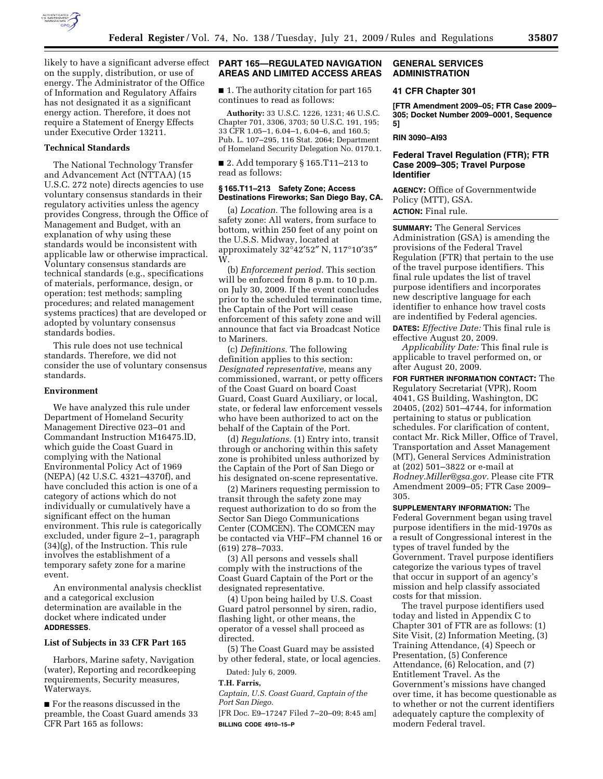

likely to have a significant adverse effect on the supply, distribution, or use of energy. The Administrator of the Office of Information and Regulatory Affairs has not designated it as a significant energy action. Therefore, it does not require a Statement of Energy Effects under Executive Order 13211.

## **Technical Standards**

The National Technology Transfer and Advancement Act (NTTAA) (15 U.S.C. 272 note) directs agencies to use voluntary consensus standards in their regulatory activities unless the agency provides Congress, through the Office of Management and Budget, with an explanation of why using these standards would be inconsistent with applicable law or otherwise impractical. Voluntary consensus standards are technical standards (e.g., specifications of materials, performance, design, or operation; test methods; sampling procedures; and related management systems practices) that are developed or adopted by voluntary consensus standards bodies.

This rule does not use technical standards. Therefore, we did not consider the use of voluntary consensus standards.

#### **Environment**

We have analyzed this rule under Department of Homeland Security Management Directive 023–01 and Commandant Instruction M16475.lD, which guide the Coast Guard in complying with the National Environmental Policy Act of 1969 (NEPA) (42 U.S.C. 4321–4370f), and have concluded this action is one of a category of actions which do not individually or cumulatively have a significant effect on the human environment. This rule is categorically excluded, under figure 2–1, paragraph (34)(g), of the Instruction. This rule involves the establishment of a temporary safety zone for a marine event.

An environmental analysis checklist and a categorical exclusion determination are available in the docket where indicated under **ADDRESSES**.

## **List of Subjects in 33 CFR Part 165**

Harbors, Marine safety, Navigation (water), Reporting and recordkeeping requirements, Security measures, Waterways.

■ For the reasons discussed in the preamble, the Coast Guard amends 33 CFR Part 165 as follows:

## **PART 165—REGULATED NAVIGATION AREAS AND LIMITED ACCESS AREAS**

■ 1. The authority citation for part 165 continues to read as follows:

**Authority:** 33 U.S.C. 1226, 1231; 46 U.S.C. Chapter 701, 3306, 3703; 50 U.S.C. 191, 195; 33 CFR 1.05–1, 6.04–1, 6.04–6, and 160.5; Pub. L. 107–295, 116 Stat. 2064; Department of Homeland Security Delegation No. 0170.1.

■ 2. Add temporary § 165.T11-213 to read as follows:

## **§ 165.T11–213 Safety Zone; Access Destinations Fireworks; San Diego Bay, CA.**

(a) *Location.* The following area is a safety zone: All waters, from surface to bottom, within 250 feet of any point on the U.S.S. Midway, located at approximately 32°42′52″ N, 117°10′35″ W.

(b) *Enforcement period.* This section will be enforced from 8 p.m. to 10 p.m. on July 30, 2009. If the event concludes prior to the scheduled termination time, the Captain of the Port will cease enforcement of this safety zone and will announce that fact via Broadcast Notice to Mariners.

(c) *Definitions.* The following definition applies to this section: *Designated representative,* means any commissioned, warrant, or petty officers of the Coast Guard on board Coast Guard, Coast Guard Auxiliary, or local, state, or federal law enforcement vessels who have been authorized to act on the behalf of the Captain of the Port.

(d) *Regulations.* (1) Entry into, transit through or anchoring within this safety zone is prohibited unless authorized by the Captain of the Port of San Diego or his designated on-scene representative.

(2) Mariners requesting permission to transit through the safety zone may request authorization to do so from the Sector San Diego Communications Center (COMCEN). The COMCEN may be contacted via VHF–FM channel 16 or (619) 278–7033.

(3) All persons and vessels shall comply with the instructions of the Coast Guard Captain of the Port or the designated representative.

(4) Upon being hailed by U.S. Coast Guard patrol personnel by siren, radio, flashing light, or other means, the operator of a vessel shall proceed as directed.

(5) The Coast Guard may be assisted by other federal, state, or local agencies.

Dated: July 6, 2009.

#### **T.H. Farris,**

*Captain, U.S. Coast Guard, Captain of the Port San Diego.* 

[FR Doc. E9–17247 Filed 7–20–09; 8:45 am] **BILLING CODE 4910–15–P** 

### **GENERAL SERVICES ADMINISTRATION**

# **41 CFR Chapter 301**

**[FTR Amendment 2009–05; FTR Case 2009– 305; Docket Number 2009–0001, Sequence 5]** 

#### **RIN 3090–AI93**

## **Federal Travel Regulation (FTR); FTR Case 2009–305; Travel Purpose Identifier**

**AGENCY:** Office of Governmentwide Policy (MTT), GSA. **ACTION:** Final rule.

**SUMMARY:** The General Services Administration (GSA) is amending the provisions of the Federal Travel Regulation (FTR) that pertain to the use of the travel purpose identifiers. This final rule updates the list of travel purpose identifiers and incorporates new descriptive language for each identifier to enhance how travel costs are indentified by Federal agencies.

**DATES:** *Effective Date:* This final rule is effective August 20, 2009.

*Applicability Date:* This final rule is applicable to travel performed on, or after August 20, 2009.

**FOR FURTHER INFORMATION CONTACT:** The Regulatory Secretariat (VPR), Room 4041, GS Building, Washington, DC 20405, (202) 501–4744, for information pertaining to status or publication schedules. For clarification of content, contact Mr. Rick Miller, Office of Travel, Transportation and Asset Management (MT), General Services Administration at (202) 501–3822 or e-mail at *Rodney.Miller@gsa.gov.* Please cite FTR Amendment 2009–05; FTR Case 2009– 305.

**SUPPLEMENTARY INFORMATION:** The Federal Government began using travel purpose identifiers in the mid-1970s as a result of Congressional interest in the types of travel funded by the Government. Travel purpose identifiers categorize the various types of travel that occur in support of an agency's mission and help classify associated costs for that mission.

The travel purpose identifiers used today and listed in Appendix C to Chapter 301 of FTR are as follows: (1) Site Visit, (2) Information Meeting, (3) Training Attendance, (4) Speech or Presentation, (5) Conference Attendance, (6) Relocation, and (7) Entitlement Travel. As the Government's missions have changed over time, it has become questionable as to whether or not the current identifiers adequately capture the complexity of modern Federal travel.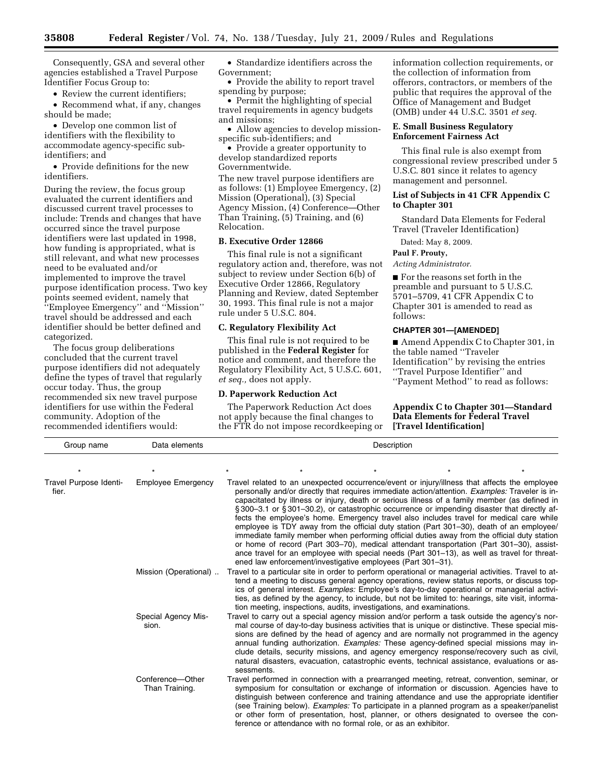Consequently, GSA and several other agencies established a Travel Purpose Identifier Focus Group to:

• Review the current identifiers;

• Recommend what, if any, changes should be made;

• Develop one common list of identifiers with the flexibility to accommodate agency-specific subidentifiers; and

• Provide definitions for the new identifiers.

During the review, the focus group evaluated the current identifiers and discussed current travel processes to include: Trends and changes that have occurred since the travel purpose identifiers were last updated in 1998, how funding is appropriated, what is still relevant, and what new processes need to be evaluated and/or implemented to improve the travel purpose identification process. Two key points seemed evident, namely that ''Employee Emergency'' and ''Mission'' travel should be addressed and each identifier should be better defined and categorized.

The focus group deliberations concluded that the current travel purpose identifiers did not adequately define the types of travel that regularly occur today. Thus, the group recommended six new travel purpose identifiers for use within the Federal community. Adoption of the recommended identifiers would:

• Standardize identifiers across the Government;

• Provide the ability to report travel spending by purpose;

• Permit the highlighting of special travel requirements in agency budgets and missions;

• Allow agencies to develop missionspecific sub-identifiers; and

• Provide a greater opportunity to develop standardized reports Governmentwide.

The new travel purpose identifiers are as follows: (1) Employee Emergency, (2) Mission (Operational), (3) Special Agency Mission, (4) Conference—Other Than Training, (5) Training, and (6) Relocation.

## **B. Executive Order 12866**

This final rule is not a significant regulatory action and, therefore, was not subject to review under Section 6(b) of Executive Order 12866, Regulatory Planning and Review, dated September 30, 1993. This final rule is not a major rule under 5 U.S.C. 804.

## **C. Regulatory Flexibility Act**

This final rule is not required to be published in the **Federal Register** for notice and comment, and therefore the Regulatory Flexibility Act, 5 U.S.C. 601, *et seq.,* does not apply.

### **D. Paperwork Reduction Act**

The Paperwork Reduction Act does not apply because the final changes to the FTR do not impose recordkeeping or information collection requirements, or the collection of information from offerors, contractors, or members of the public that requires the approval of the Office of Management and Budget (OMB) under 44 U.S.C. 3501 *et seq.* 

## **E. Small Business Regulatory Enforcement Fairness Act**

This final rule is also exempt from congressional review prescribed under 5 U.S.C. 801 since it relates to agency management and personnel.

### **List of Subjects in 41 CFR Appendix C to Chapter 301**

Standard Data Elements for Federal Travel (Traveler Identification)

Dated: May 8, 2009.

**Paul F. Prouty,** 

*Acting Administrator.* 

■ For the reasons set forth in the preamble and pursuant to 5 U.S.C. 5701–5709, 41 CFR Appendix C to Chapter 301 is amended to read as follows:

## **CHAPTER 301—[AMENDED]**

■ Amend Appendix C to Chapter 301, in the table named ''Traveler Identification'' by revising the entries ''Travel Purpose Identifier'' and ''Payment Method'' to read as follows:

**Appendix C to Chapter 301—Standard Data Elements for Federal Travel [Travel Identification]** 

| Group name                      | Data elements                      | Description                                                                                                                                                                                                                                                                                                                                                                                                                                                                                                                                                                                                                                                                                                                                                                                                                                                                                                                                  |  |                                                                                                                                                                                                                                                                                                                                                                                                                                                                                                                                                   |  |  |  |  |
|---------------------------------|------------------------------------|----------------------------------------------------------------------------------------------------------------------------------------------------------------------------------------------------------------------------------------------------------------------------------------------------------------------------------------------------------------------------------------------------------------------------------------------------------------------------------------------------------------------------------------------------------------------------------------------------------------------------------------------------------------------------------------------------------------------------------------------------------------------------------------------------------------------------------------------------------------------------------------------------------------------------------------------|--|---------------------------------------------------------------------------------------------------------------------------------------------------------------------------------------------------------------------------------------------------------------------------------------------------------------------------------------------------------------------------------------------------------------------------------------------------------------------------------------------------------------------------------------------------|--|--|--|--|
|                                 |                                    |                                                                                                                                                                                                                                                                                                                                                                                                                                                                                                                                                                                                                                                                                                                                                                                                                                                                                                                                              |  |                                                                                                                                                                                                                                                                                                                                                                                                                                                                                                                                                   |  |  |  |  |
| Travel Purpose Identi-<br>fier. | <b>Employee Emergency</b>          | Travel related to an unexpected occurrence/event or injury/illness that affects the employee<br>personally and/or directly that requires immediate action/attention. Examples: Traveler is in-<br>capacitated by illness or injury, death or serious illness of a family member (as defined in<br>§300–3.1 or §301–30.2), or catastrophic occurrence or impending disaster that directly af-<br>fects the employee's home. Emergency travel also includes travel for medical care while<br>employee is TDY away from the official duty station (Part 301-30), death of an employee/<br>immediate family member when performing official duties away from the official duty station<br>or home of record (Part 303–70), medical attendant transportation (Part 301–30), assist-<br>ance travel for an employee with special needs (Part 301-13), as well as travel for threat-<br>ened law enforcement/investigative employees (Part 301-31). |  |                                                                                                                                                                                                                                                                                                                                                                                                                                                                                                                                                   |  |  |  |  |
|                                 | Mission (Operational)              | Travel to a particular site in order to perform operational or managerial activities. Travel to at-<br>tend a meeting to discuss general agency operations, review status reports, or discuss top-<br>ics of general interest. Examples: Employee's day-to-day operational or managerial activi-<br>ties, as defined by the agency, to include, but not be limited to: hearings, site visit, informa-<br>tion meeting, inspections, audits, investigations, and examinations.                                                                                                                                                                                                                                                                                                                                                                                                                                                                |  |                                                                                                                                                                                                                                                                                                                                                                                                                                                                                                                                                   |  |  |  |  |
|                                 | Special Agency Mis-<br>sion.       | Travel to carry out a special agency mission and/or perform a task outside the agency's nor-<br>mal course of day-to-day business activities that is unique or distinctive. These special mis-<br>sions are defined by the head of agency and are normally not programmed in the agency<br>annual funding authorization. <i>Examples:</i> These agency-defined special missions may in-<br>clude details, security missions, and agency emergency response/recovery such as civil,<br>natural disasters, evacuation, catastrophic events, technical assistance, evaluations or as-<br>sessments.                                                                                                                                                                                                                                                                                                                                             |  |                                                                                                                                                                                                                                                                                                                                                                                                                                                                                                                                                   |  |  |  |  |
|                                 | Conference-Other<br>Than Training. |                                                                                                                                                                                                                                                                                                                                                                                                                                                                                                                                                                                                                                                                                                                                                                                                                                                                                                                                              |  | Travel performed in connection with a prearranged meeting, retreat, convention, seminar, or<br>symposium for consultation or exchange of information or discussion. Agencies have to<br>distinguish between conference and training attendance and use the appropriate identifier<br>(see Training below). <i>Examples:</i> To participate in a planned program as a speaker/panelist<br>or other form of presentation, host, planner, or others designated to oversee the con-<br>ference or attendance with no formal role, or as an exhibitor. |  |  |  |  |